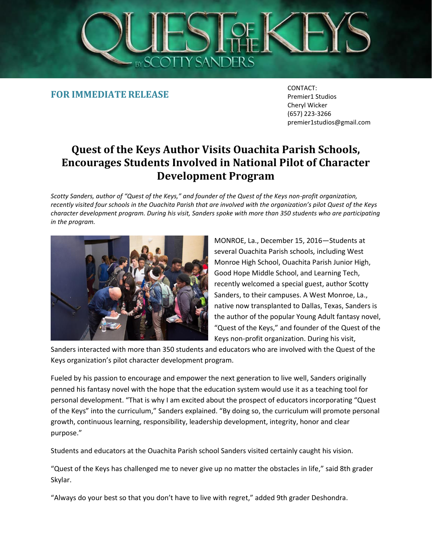

**FOR IMMEDIATE RELEASE**

CONTACT: Premier1 Studios Cheryl Wicker (657) 223-3266 premier1studios@gmail.com

## **Quest of the Keys Author Visits Ouachita Parish Schools, Encourages Students Involved in National Pilot of Character Development Program**

*Scotty Sanders, author of "Quest of the Keys," and founder of the Quest of the Keys non-profit organization, recently visited four schools in the Ouachita Parish that are involved with the organization's pilot Quest of the Keys character development program. During his visit, Sanders spoke with more than 350 students who are participating in the program.*



MONROE, La., December 15, 2016—Students at several Ouachita Parish schools, including West Monroe High School, Ouachita Parish Junior High, Good Hope Middle School, and Learning Tech, recently welcomed a special guest, author Scotty Sanders, to their campuses. A West Monroe, La., native now transplanted to Dallas, Texas, Sanders is the author of the popular Young Adult fantasy novel, "Quest of the Keys," and founder of the Quest of the Keys non-profit organization. During his visit,

Sanders interacted with more than 350 students and educators who are involved with the Quest of the Keys organization's pilot character development program.

Fueled by his passion to encourage and empower the next generation to live well, Sanders originally penned his fantasy novel with the hope that the education system would use it as a teaching tool for personal development. "That is why I am excited about the prospect of educators incorporating "Quest of the Keys" into the curriculum," Sanders explained. "By doing so, the curriculum will promote personal growth, continuous learning, responsibility, leadership development, integrity, honor and clear purpose."

Students and educators at the Ouachita Parish school Sanders visited certainly caught his vision.

"Quest of the Keys has challenged me to never give up no matter the obstacles in life," said 8th grader Skylar.

"Always do your best so that you don't have to live with regret," added 9th grader Deshondra.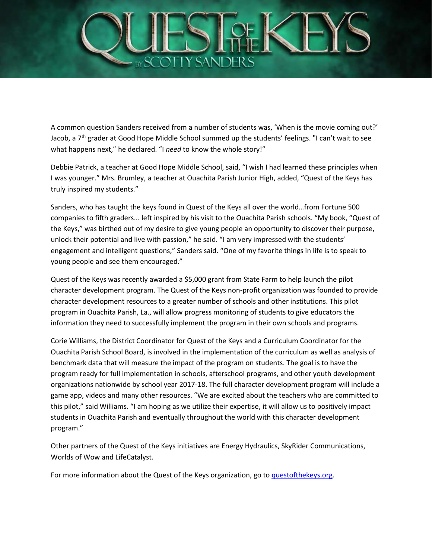

A common question Sanders received from a number of students was, 'When is the movie coming out?' Jacob, a  $7<sup>th</sup>$  grader at Good Hope Middle School summed up the students' feelings. "I can't wait to see what happens next," he declared. "I *need* to know the whole story!"

Debbie Patrick, a teacher at Good Hope Middle School, said, "I wish I had learned these principles when I was younger." Mrs. Brumley, a teacher at Ouachita Parish Junior High, added, "Quest of the Keys has truly inspired my students."

Sanders, who has taught the keys found in Quest of the Keys all over the world…from Fortune 500 companies to fifth graders... left inspired by his visit to the Ouachita Parish schools. "My book, "Quest of the Keys," was birthed out of my desire to give young people an opportunity to discover their purpose, unlock their potential and live with passion," he said. "I am very impressed with the students' engagement and intelligent questions," Sanders said. "One of my favorite things in life is to speak to young people and see them encouraged."

Quest of the Keys was recently awarded a \$5,000 grant from State Farm to help launch the pilot character development program. The Quest of the Keys non-profit organization was founded to provide character development resources to a greater number of schools and other institutions. This pilot program in Ouachita Parish, La., will allow progress monitoring of students to give educators the information they need to successfully implement the program in their own schools and programs.

Corie Williams, the District Coordinator for Quest of the Keys and a Curriculum Coordinator for the Ouachita Parish School Board, is involved in the implementation of the curriculum as well as analysis of benchmark data that will measure the impact of the program on students. The goal is to have the program ready for full implementation in schools, afterschool programs, and other youth development organizations nationwide by school year 2017-18. The full character development program will include a game app, videos and many other resources. "We are excited about the teachers who are committed to this pilot," said Williams. "I am hoping as we utilize their expertise, it will allow us to positively impact students in Ouachita Parish and eventually throughout the world with this character development program."

Other partners of the Quest of the Keys initiatives are Energy Hydraulics, SkyRider Communications, Worlds of Wow and LifeCatalyst.

For more information about the Quest of the Keys organization, go to [questofthekeys.org.](http://www.prweb.net/Redirect.aspx?id=aHR0cDovL3F1ZXN0b2Z0aGVrZXlzLm9yZy8=)